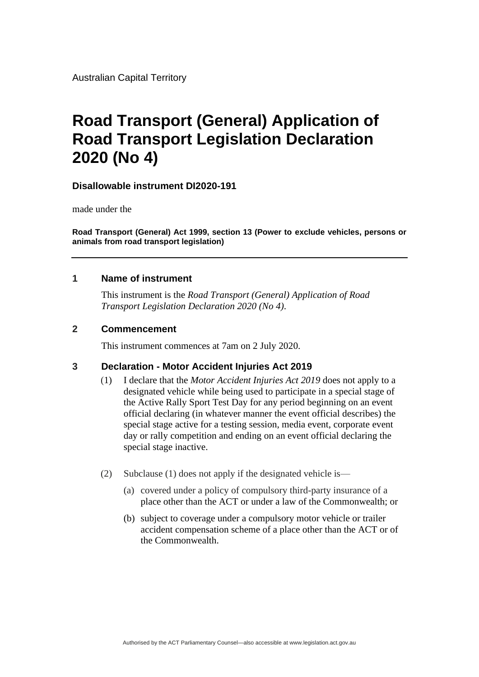Australian Capital Territory

# **Road Transport (General) Application of Road Transport Legislation Declaration 2020 (No 4)**

#### **Disallowable instrument DI2020-191**

made under the

**Road Transport (General) Act 1999, section 13 (Power to exclude vehicles, persons or animals from road transport legislation)**

#### **1 Name of instrument**

This instrument is the *Road Transport (General) Application of Road Transport Legislation Declaration 2020 (No 4)*.

#### **2 Commencement**

This instrument commences at 7am on 2 July 2020.

#### **3 Declaration - Motor Accident Injuries Act 2019**

- (1) I declare that the *Motor Accident Injuries Act 2019* does not apply to a designated vehicle while being used to participate in a special stage of the Active Rally Sport Test Day for any period beginning on an event official declaring (in whatever manner the event official describes) the special stage active for a testing session, media event, corporate event day or rally competition and ending on an event official declaring the special stage inactive.
- (2) Subclause (1) does not apply if the designated vehicle is—
	- (a) covered under a policy of compulsory third-party insurance of a place other than the ACT or under a law of the Commonwealth; or
	- (b) subject to coverage under a compulsory motor vehicle or trailer accident compensation scheme of a place other than the ACT or of the Commonwealth.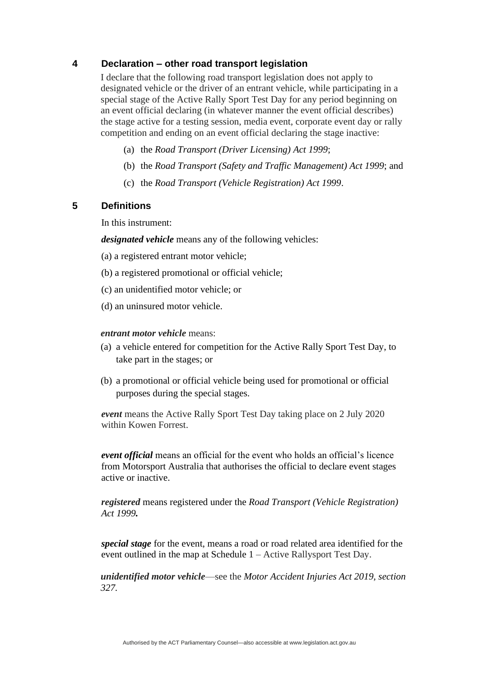#### **4 Declaration – other road transport legislation**

I declare that the following road transport legislation does not apply to designated vehicle or the driver of an entrant vehicle, while participating in a special stage of the Active Rally Sport Test Day for any period beginning on an event official declaring (in whatever manner the event official describes) the stage active for a testing session, media event, corporate event day or rally competition and ending on an event official declaring the stage inactive:

- (a) the *Road Transport (Driver Licensing) Act 1999*;
- (b) the *Road Transport (Safety and Traffic Management) Act 1999*; and
- (c) the *Road Transport (Vehicle Registration) Act 1999*.

#### **5 Definitions**

In this instrument:

*designated vehicle* means any of the following vehicles:

- (a) a registered entrant motor vehicle;
- (b) a registered promotional or official vehicle;
- (c) an unidentified motor vehicle; or
- (d) an uninsured motor vehicle.

#### *entrant motor vehicle* means:

- (a) a vehicle entered for competition for the Active Rally Sport Test Day, to take part in the stages; or
- (b) a promotional or official vehicle being used for promotional or official purposes during the special stages.

*event* means the Active Rally Sport Test Day taking place on 2 July 2020 within Kowen Forrest.

*event official* means an official for the event who holds an official's licence from Motorsport Australia that authorises the official to declare event stages active or inactive.

*registered* means registered under the *Road Transport (Vehicle Registration) Act 1999.*

*special stage* for the event, means a road or road related area identified for the event outlined in the map at Schedule 1 – Active Rallysport Test Day.

*unidentified motor vehicle*—see the *Motor Accident Injuries Act 2019, section 327.*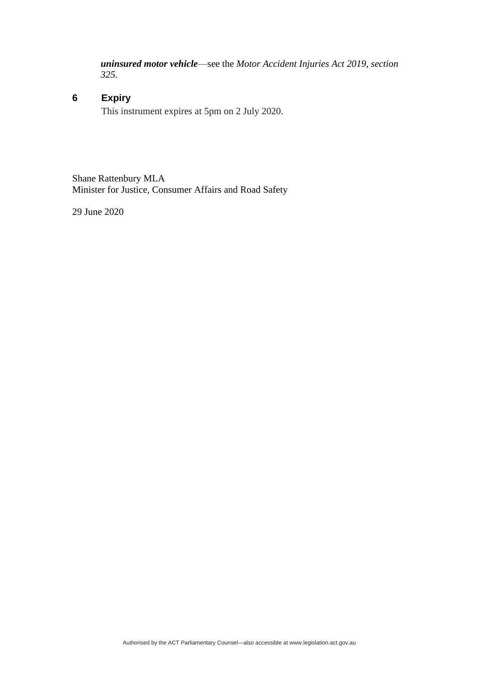*uninsured motor vehicle*—see the *Motor Accident Injuries Act 2019, section 325.*

### **6 Expiry**

This instrument expires at 5pm on 2 July 2020.

Shane Rattenbury MLA Minister for Justice, Consumer Affairs and Road Safety

29 June 2020